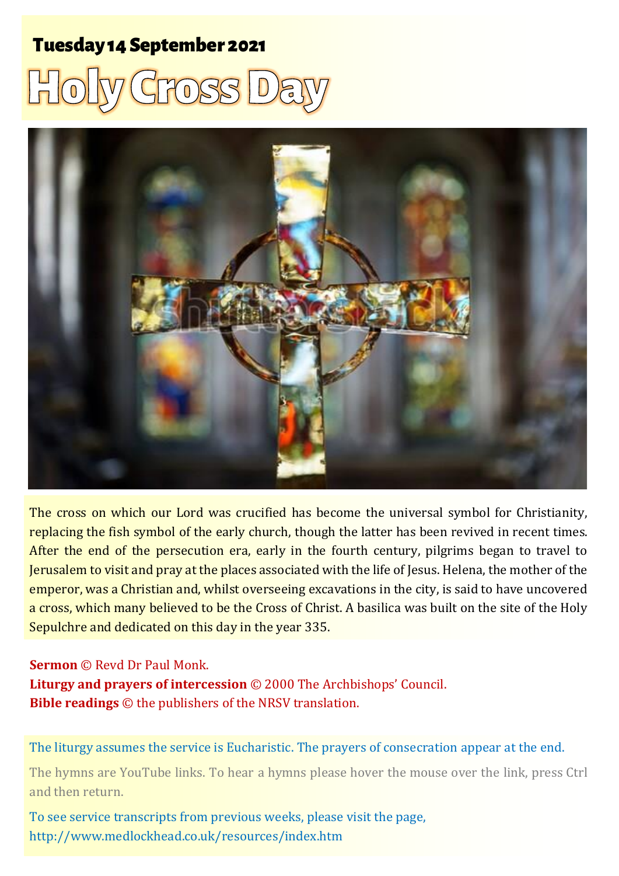# **Tuesday 14 September 2021**





The cross on which our Lord was crucified has become the universal symbol for Christianity, replacing the fish symbol of the early church, though the latter has been revived in recent times. After the end of the persecution era, early in the fourth century, pilgrims began to travel to Jerusalem to visit and pray at the places associated with the life of Jesus. Helena, the mother of the emperor, was a Christian and, whilst overseeing excavations in the city, is said to have uncovered a cross, which many believed to be the Cross of Christ. A basilica was built on the site of the Holy Sepulchre and dedicated on this day in the year 335.

#### **Sermon** © Revd Dr Paul Monk.

**Liturgy and prayers of intercession** © 2000 The Archbishops' Council. **Bible readings** © the publishers of the NRSV translation.

The liturgy assumes the service is Eucharistic. The prayers of consecration appear at the end.

The hymns are YouTube links. To hear a hymns please hover the mouse over the link, press Ctrl and then return.

To see service transcripts from previous weeks, please visit the page, <http://www.medlockhead.co.uk/resources/index.htm>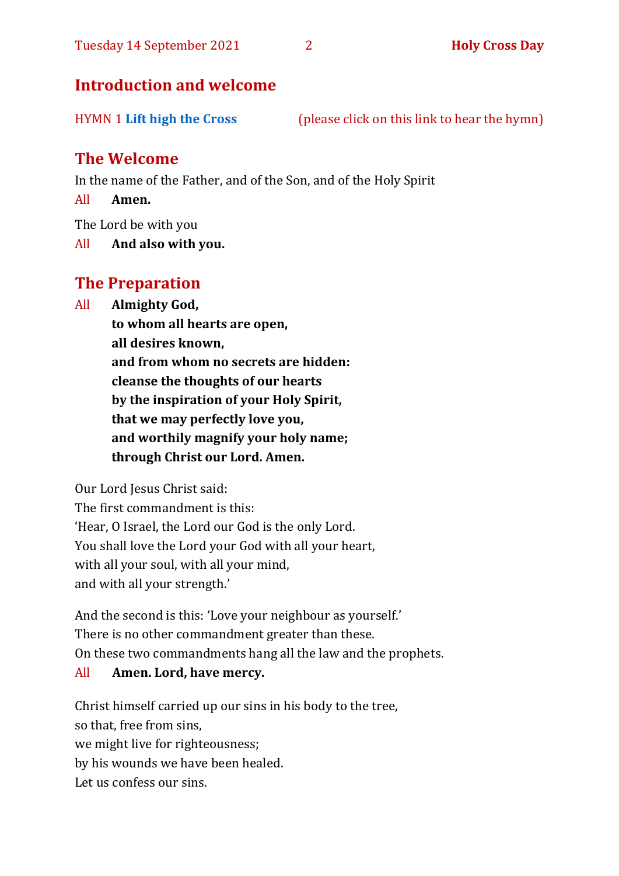## **Introduction and welcome**

HYMN 1 **[Lift high the Cross](https://www.youtube.com/watch?v=ephp3TVkPVY)** (please click on this link to hear the hymn)

# **The Welcome**

In the name of the Father, and of the Son, and of the Holy Spirit

All **Amen.**

The Lord be with you

All **And also with you.**

# **The Preparation**

All **Almighty God,**

**to whom all hearts are open, all desires known, and from whom no secrets are hidden: cleanse the thoughts of our hearts by the inspiration of your Holy Spirit, that we may perfectly love you, and worthily magnify your holy name; through Christ our Lord. Amen.**

Our Lord Jesus Christ said:

The first commandment is this: 'Hear, O Israel, the Lord our God is the only Lord. You shall love the Lord your God with all your heart, with all your soul, with all your mind, and with all your strength.'

And the second is this: 'Love your neighbour as yourself.' There is no other commandment greater than these. On these two commandments hang all the law and the prophets.

#### All **Amen. Lord, have mercy.**

Christ himself carried up our sins in his body to the tree, so that, free from sins, we might live for righteousness; by his wounds we have been healed. Let us confess our sins.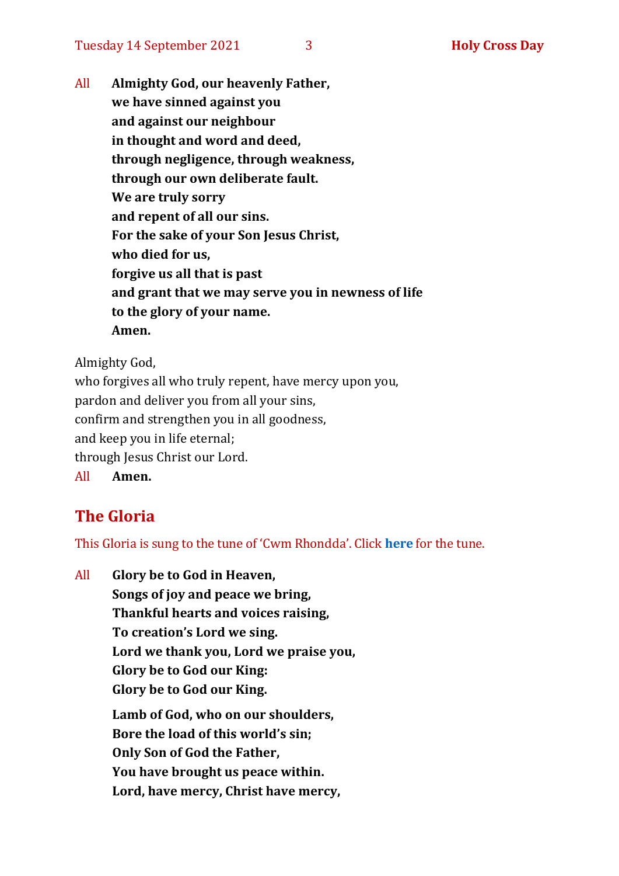All **Almighty God, our heavenly Father, we have sinned against you and against our neighbour in thought and word and deed, through negligence, through weakness, through our own deliberate fault. We are truly sorry and repent of all our sins. For the sake of your Son Jesus Christ, who died for us, forgive us all that is past and grant that we may serve you in newness of life to the glory of your name. Amen.**

Almighty God,

who forgives all who truly repent, have mercy upon you, pardon and deliver you from all your sins, confirm and strengthen you in all goodness, and keep you in life eternal; through Jesus Christ our Lord. All **Amen.**

# **The Gloria**

This Gloria is sung to the tune of 'Cwm Rhondda'. Click **[here](https://www.youtube.com/watch?v=l71MLQ22dIk)** for the tune.

All **Glory be to God in Heaven, Songs of joy and peace we bring, Thankful hearts and voices raising, To creation's Lord we sing. Lord we thank you, Lord we praise you, Glory be to God our King: Glory be to God our King. Lamb of God, who on our shoulders, Bore the load of this world's sin; Only Son of God the Father, You have brought us peace within. Lord, have mercy, Christ have mercy,**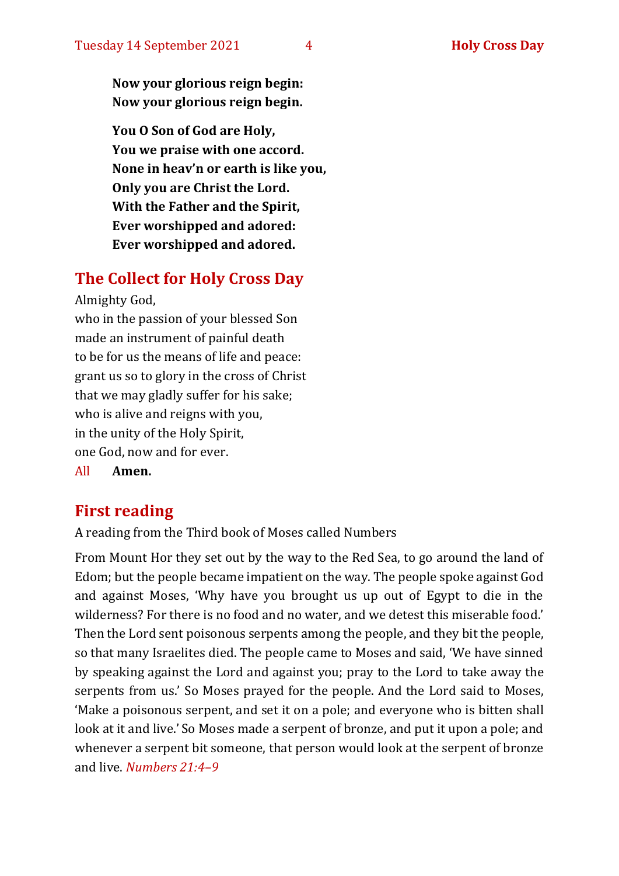**Now your glorious reign begin: Now your glorious reign begin.**

**You O Son of God are Holy, You we praise with one accord. None in heav'n or earth is like you, Only you are Christ the Lord. With the Father and the Spirit, Ever worshipped and adored: Ever worshipped and adored.**

### **The Collect for Holy Cross Day**

Almighty God,

who in the passion of your blessed Son made an instrument of painful death to be for us the means of life and peace: grant us so to glory in the cross of Christ that we may gladly suffer for his sake; who is alive and reigns with you, in the unity of the Holy Spirit, one God, now and for ever.

All **Amen.**

#### **First reading**

A reading from the Third book of Moses called Numbers

From Mount Hor they set out by the way to the Red Sea, to go around the land of Edom; but the people became impatient on the way. The people spoke against God and against Moses, 'Why have you brought us up out of Egypt to die in the wilderness? For there is no food and no water, and we detest this miserable food.' Then the Lord sent poisonous serpents among the people, and they bit the people, so that many Israelites died. The people came to Moses and said, 'We have sinned by speaking against the Lord and against you; pray to the Lord to take away the serpents from us.' So Moses prayed for the people. And the Lord said to Moses, 'Make a poisonous serpent, and set it on a pole; and everyone who is bitten shall look at it and live.' So Moses made a serpent of bronze, and put it upon a pole; and whenever a serpent bit someone, that person would look at the serpent of bronze and live. *Numbers 21:4–9*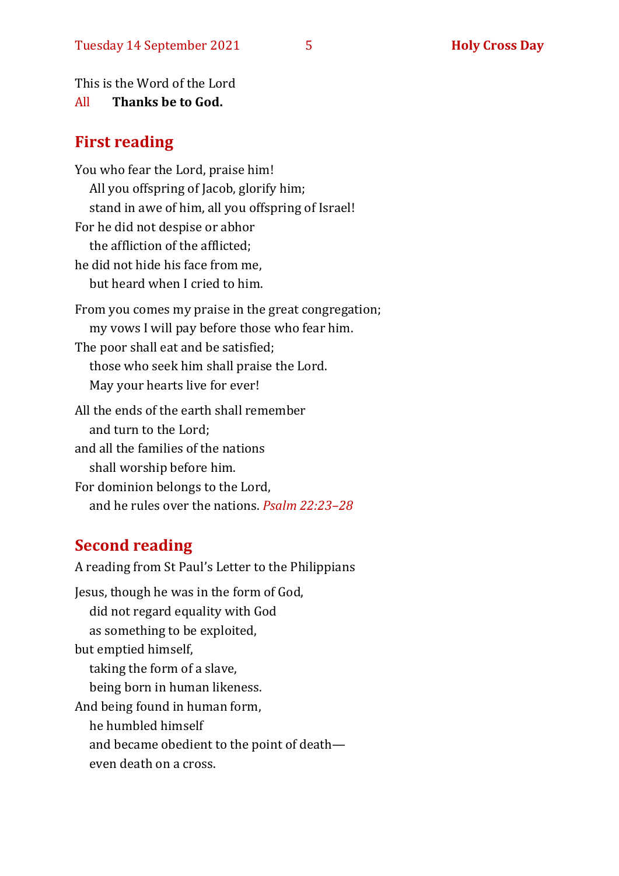This is the Word of the Lord

#### All **Thanks be to God.**

#### **First reading**

You who fear the Lord, praise him! All you offspring of Jacob, glorify him; stand in awe of him, all you offspring of Israel! For he did not despise or abhor the affliction of the afflicted; he did not hide his face from me, but heard when I cried to him. From you comes my praise in the great congregation; my vows I will pay before those who fear him. The poor shall eat and be satisfied; those who seek him shall praise the Lord. May your hearts live for ever! All the ends of the earth shall remember and turn to the Lord; and all the families of the nations shall worship before him. For dominion belongs to the Lord, and he rules over the nations. *Psalm 22:23–28*

## **Second reading**

A reading from St Paul's Letter to the Philippians Jesus, though he was in the form of God, did not regard equality with God as something to be exploited, but emptied himself, taking the form of a slave, being born in human likeness. And being found in human form, he humbled himself and became obedient to the point of death even death on a cross.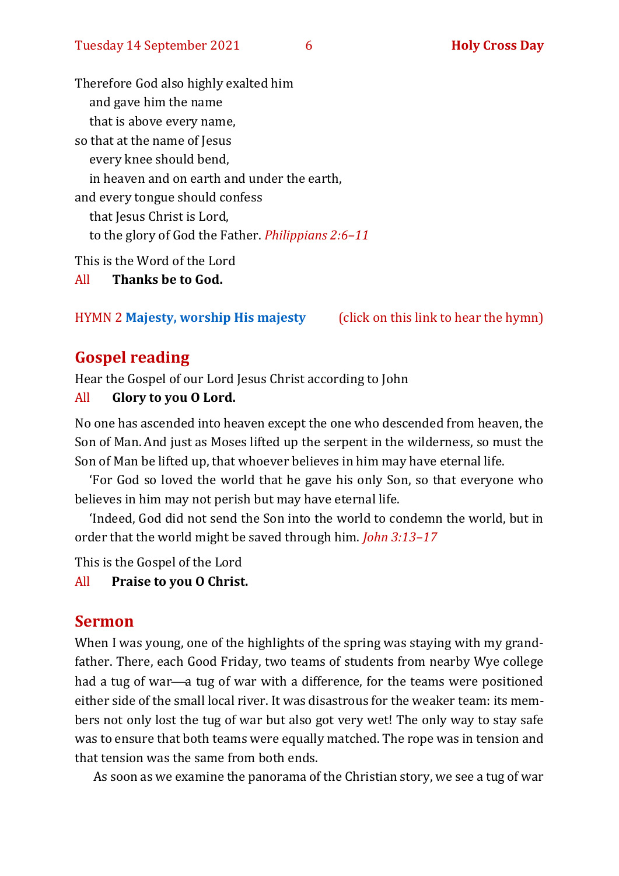Therefore God also highly exalted him and gave him the name that is above every name, so that at the name of Jesus every knee should bend, in heaven and on earth and under the earth, and every tongue should confess that Jesus Christ is Lord, to the glory of God the Father. *Philippians 2:6–11* This is the Word of the Lord

All **Thanks be to God.**

#### HYMN 2 **[Majesty, worship His majesty](https://www.youtube.com/watch?v=BcbCAq_A7to)** (click on this link to hear the hymn)

#### **Gospel reading**

Hear the Gospel of our Lord Jesus Christ according to John

#### All **Glory to you O Lord.**

No one has ascended into heaven except the one who descended from heaven, the Son of Man. And just as Moses lifted up the serpent in the wilderness, so must the Son of Man be lifted up, that whoever believes in him may have eternal life.

'For God so loved the world that he gave his only Son, so that everyone who believes in him may not perish but may have eternal life.

'Indeed, God did not send the Son into the world to condemn the world, but in order that the world might be saved through him. *John 3:13–17*

This is the Gospel of the Lord

#### All **Praise to you O Christ.**

#### **Sermon**

When I was young, one of the highlights of the spring was staying with my grandfather. There, each Good Friday, two teams of students from nearby Wye college had a tug of war—a tug of war with a difference, for the teams were positioned either side of the small local river. It was disastrous for the weaker team: its members not only lost the tug of war but also got very wet! The only way to stay safe was to ensure that both teams were equally matched. The rope was in tension and that tension was the same from both ends.

As soon as we examine the panorama of the Christian story, we see a tug of war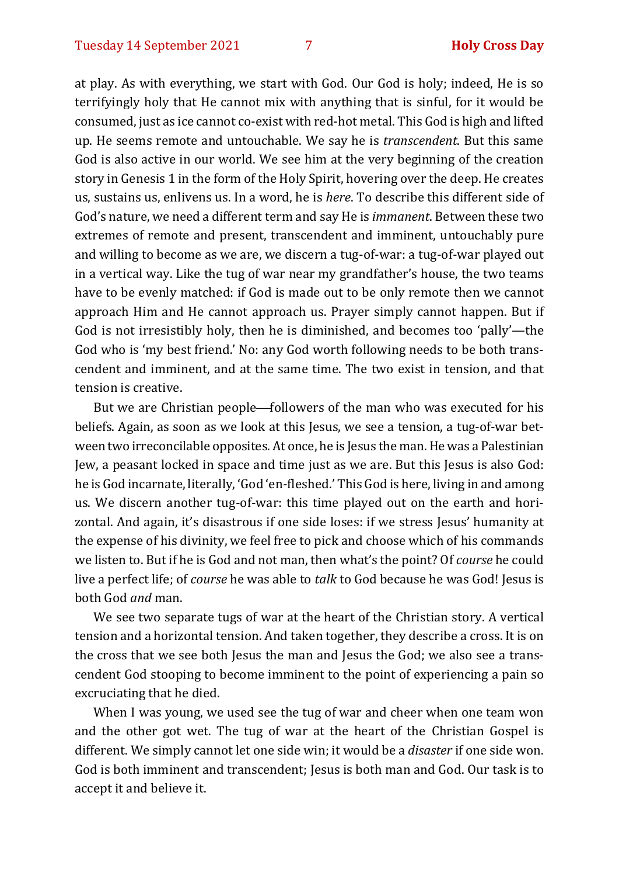at play. As with everything, we start with God. Our God is holy; indeed, He is so terrifyingly holy that He cannot mix with anything that is sinful, for it would be consumed, just as ice cannot co-exist with red-hot metal. This God is high and lifted up. He seems remote and untouchable. We say he is *transcendent*. But this same God is also active in our world. We see him at the very beginning of the creation story in Genesis 1 in the form of the Holy Spirit, hovering over the deep. He creates us, sustains us, enlivens us. In a word, he is *here*. To describe this different side of God's nature, we need a different term and say He is *immanent*. Between these two extremes of remote and present, transcendent and imminent, untouchably pure and willing to become as we are, we discern a tug-of-war: a tug-of-war played out in a vertical way. Like the tug of war near my grandfather's house, the two teams have to be evenly matched: if God is made out to be only remote then we cannot approach Him and He cannot approach us. Prayer simply cannot happen. But if God is not irresistibly holy, then he is diminished, and becomes too 'pally'—the God who is 'my best friend.' No: any God worth following needs to be both transcendent and imminent, and at the same time. The two exist in tension, and that tension is creative.

But we are Christian people—followers of the man who was executed for his beliefs. Again, as soon as we look at this Jesus, we see a tension, a tug-of-war between two irreconcilable opposites. At once, he is Jesus the man. He was a Palestinian Jew, a peasant locked in space and time just as we are. But this Jesus is also God: he is God incarnate, literally, 'God 'en-fleshed.' This God is here, living in and among us. We discern another tug-of-war: this time played out on the earth and horizontal. And again, it's disastrous if one side loses: if we stress Jesus' humanity at the expense of his divinity, we feel free to pick and choose which of his commands we listen to. But if he is God and not man, then what's the point? Of *course* he could live a perfect life; of *course* he was able to *talk* to God because he was God! Jesus is both God *and* man.

We see two separate tugs of war at the heart of the Christian story. A vertical tension and a horizontal tension. And taken together, they describe a cross. It is on the cross that we see both Jesus the man and Jesus the God; we also see a transcendent God stooping to become imminent to the point of experiencing a pain so excruciating that he died.

When I was young, we used see the tug of war and cheer when one team won and the other got wet. The tug of war at the heart of the Christian Gospel is different. We simply cannot let one side win; it would be a *disaster* if one side won. God is both imminent and transcendent; Jesus is both man and God. Our task is to accept it and believe it.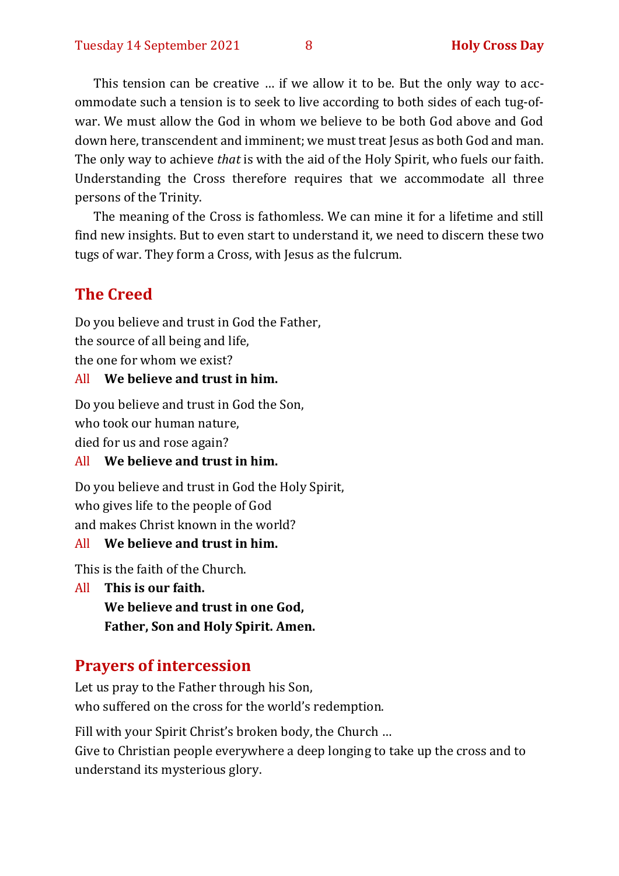This tension can be creative … if we allow it to be. But the only way to accommodate such a tension is to seek to live according to both sides of each tug-ofwar. We must allow the God in whom we believe to be both God above and God down here, transcendent and imminent; we must treat Jesus as both God and man. The only way to achieve *that* is with the aid of the Holy Spirit, who fuels our faith. Understanding the Cross therefore requires that we accommodate all three persons of the Trinity.

The meaning of the Cross is fathomless. We can mine it for a lifetime and still find new insights. But to even start to understand it, we need to discern these two tugs of war. They form a Cross, with Jesus as the fulcrum.

# **The Creed**

Do you believe and trust in God the Father, the source of all being and life, the one for whom we exist?

#### All **We believe and trust in him.**

Do you believe and trust in God the Son,

who took our human nature,

died for us and rose again?

#### All **We believe and trust in him.**

Do you believe and trust in God the Holy Spirit, who gives life to the people of God and makes Christ known in the world?

#### All **We believe and trust in him.**

This is the faith of the Church.

All **This is our faith.**

**We believe and trust in one God,**

**Father, Son and Holy Spirit. Amen.**

#### **Prayers of intercession**

Let us pray to the Father through his Son, who suffered on the cross for the world's redemption.

Fill with your Spirit Christ's broken body, the Church …

Give to Christian people everywhere a deep longing to take up the cross and to understand its mysterious glory.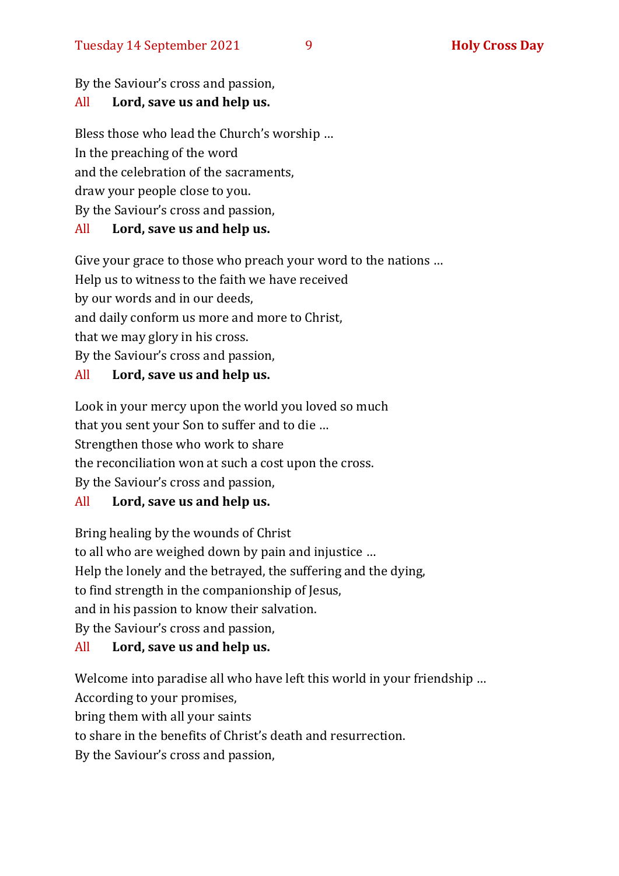By the Saviour's cross and passion,

#### All **Lord, save us and help us.**

Bless those who lead the Church's worship …

In the preaching of the word

and the celebration of the sacraments,

draw your people close to you.

By the Saviour's cross and passion,

#### All **Lord, save us and help us.**

Give your grace to those who preach your word to the nations …

Help us to witness to the faith we have received

by our words and in our deeds,

and daily conform us more and more to Christ,

that we may glory in his cross.

By the Saviour's cross and passion,

#### All **Lord, save us and help us.**

Look in your mercy upon the world you loved so much that you sent your Son to suffer and to die … Strengthen those who work to share the reconciliation won at such a cost upon the cross. By the Saviour's cross and passion,

#### All **Lord, save us and help us.**

Bring healing by the wounds of Christ to all who are weighed down by pain and injustice … Help the lonely and the betrayed, the suffering and the dying, to find strength in the companionship of Jesus, and in his passion to know their salvation. By the Saviour's cross and passion,

#### All **Lord, save us and help us.**

Welcome into paradise all who have left this world in your friendship … According to your promises,

bring them with all your saints

to share in the benefits of Christ's death and resurrection.

By the Saviour's cross and passion,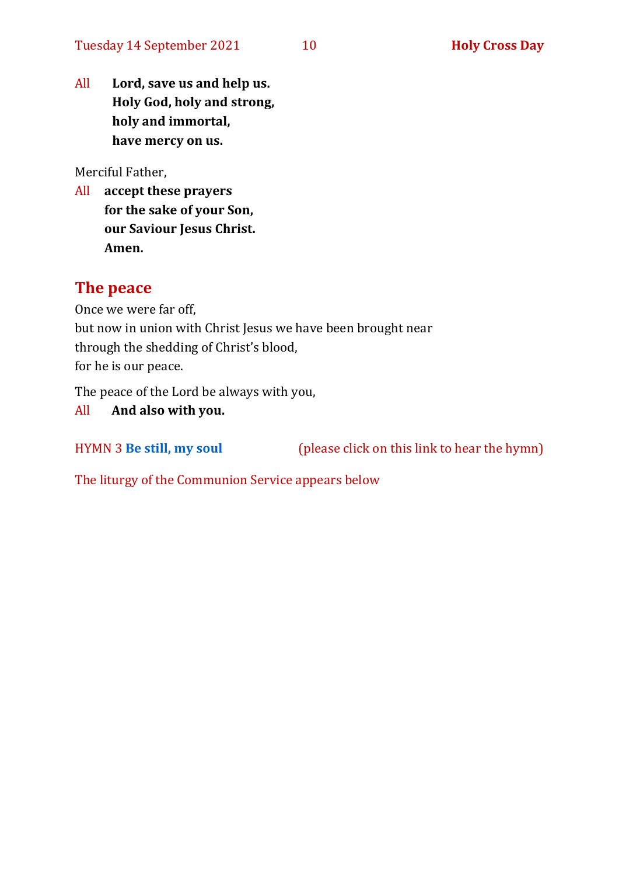All **Lord, save us and help us. Holy God, holy and strong, holy and immortal, have mercy on us.**

Merciful Father,

All **accept these prayers for the sake of your Son, our Saviour Jesus Christ. Amen.**

#### **The peace**

Once we were far off,

but now in union with Christ Jesus we have been brought near through the shedding of Christ's blood, for he is our peace.

The peace of the Lord be always with you,

#### All **And also with you.**

HYMN 3 **[Be still, my soul](https://www.youtube.com/watch?v=hqgC1tqifV8)** (please click on this link to hear the hymn)

The liturgy of the Communion Service appears below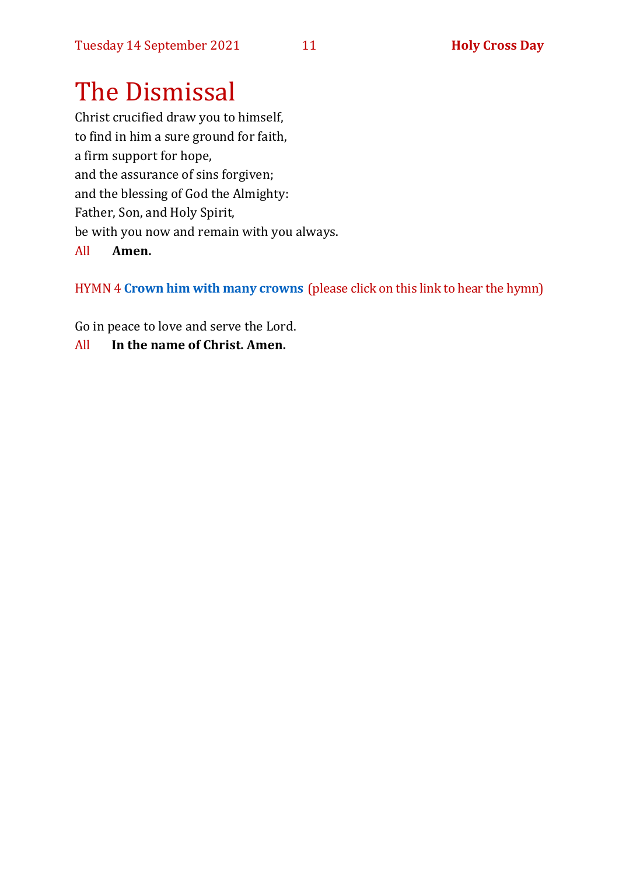# The Dismissal

Christ crucified draw you to himself, to find in him a sure ground for faith, a firm support for hope, and the assurance of sins forgiven; and the blessing of God the Almighty: Father, Son, and Holy Spirit, be with you now and remain with you always. All **Amen.**

HYMN 4 **[Crown him with many crowns](https://youtu.be/F8ti2-eoviU)** (please click on this link to hear the hymn)

Go in peace to love and serve the Lord.

All **In the name of Christ. Amen.**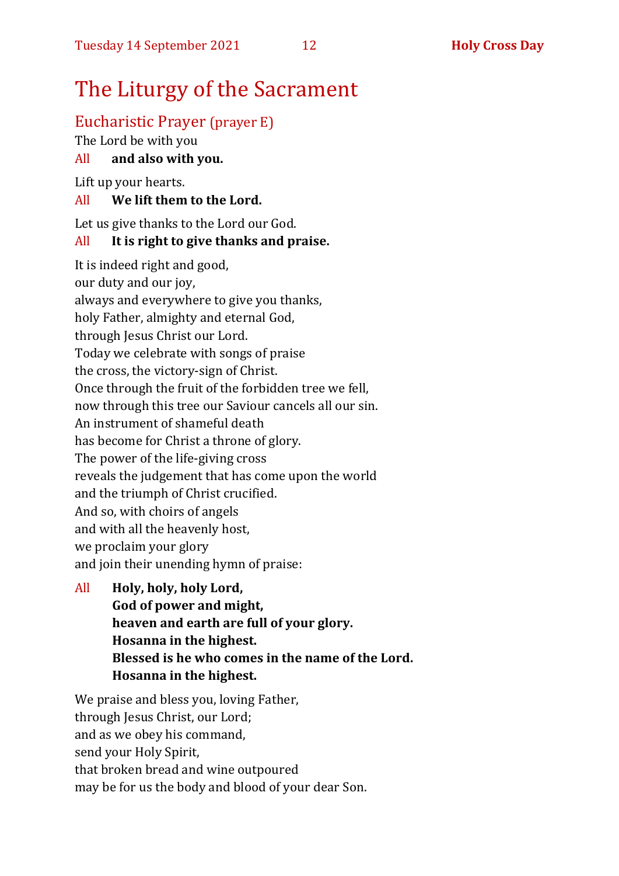# The Liturgy of the Sacrament

# Eucharistic Prayer (prayer E)

The Lord be with you

#### All **and also with you.**

Lift up your hearts.

### All **We lift them to the Lord.**

Let us give thanks to the Lord our God.

#### All **It is right to give thanks and praise.**

It is indeed right and good, our duty and our joy, always and everywhere to give you thanks, holy Father, almighty and eternal God, through Jesus Christ our Lord. Today we celebrate with songs of praise the cross, the victory-sign of Christ. Once through the fruit of the forbidden tree we fell, now through this tree our Saviour cancels all our sin. An instrument of shameful death has become for Christ a throne of glory. The power of the life-giving cross reveals the judgement that has come upon the world and the triumph of Christ crucified. And so, with choirs of angels and with all the heavenly host, we proclaim your glory and join their unending hymn of praise:

All **Holy, holy, holy Lord, God of power and might, heaven and earth are full of your glory. Hosanna in the highest. Blessed is he who comes in the name of the Lord. Hosanna in the highest.**

We praise and bless you, loving Father, through Jesus Christ, our Lord; and as we obey his command, send your Holy Spirit, that broken bread and wine outpoured may be for us the body and blood of your dear Son.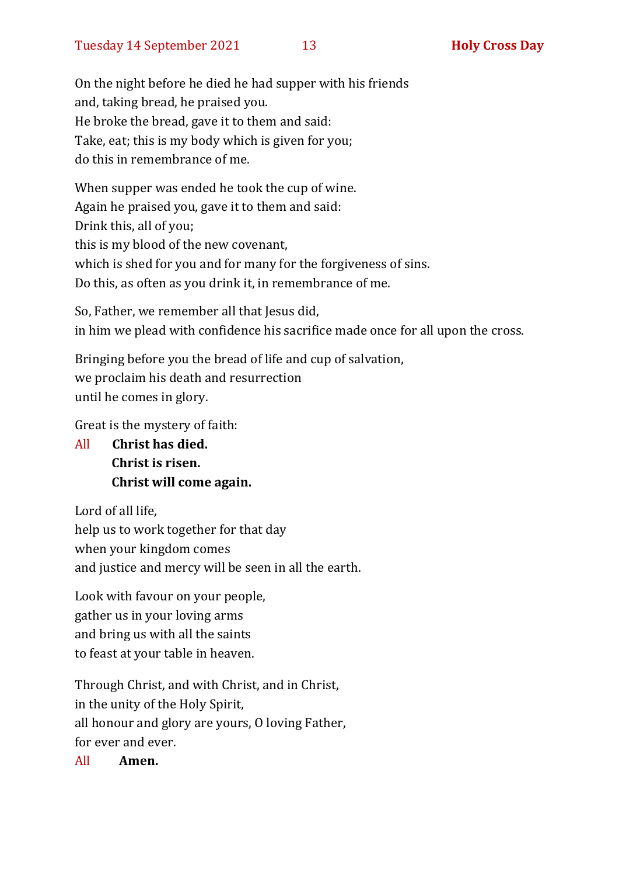On the night before he died he had supper with his friends and, taking bread, he praised you. He broke the bread, gave it to them and said: Take, eat; this is my body which is given for you; do this in remembrance of me.

When supper was ended he took the cup of wine. Again he praised you, gave it to them and said: Drink this, all of you; this is my blood of the new covenant, which is shed for you and for many for the forgiveness of sins. Do this, as often as you drink it, in remembrance of me.

So, Father, we remember all that Jesus did, in him we plead with confidence his sacrifice made once for all upon the cross.

Bringing before you the bread of life and cup of salvation, we proclaim his death and resurrection until he comes in glory.

Great is the mystery of faith:

All **Christ has died. Christ is risen. Christ will come again.**

Lord of all life, help us to work together for that day when your kingdom comes and justice and mercy will be seen in all the earth.

Look with favour on your people, gather us in your loving arms and bring us with all the saints to feast at your table in heaven.

Through Christ, and with Christ, and in Christ, in the unity of the Holy Spirit, all honour and glory are yours, O loving Father, for ever and ever.

All **Amen.**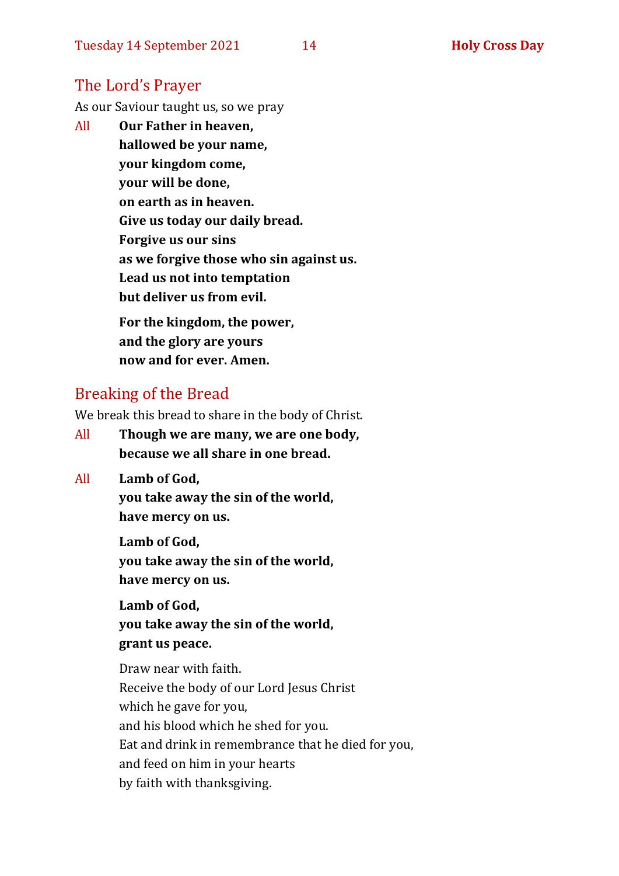#### The Lord's Prayer

As our Saviour taught us, so we pray

All **Our Father in heaven, hallowed be your name, your kingdom come, your will be done, on earth as in heaven. Give us today our daily bread. Forgive us our sins as we forgive those who sin against us. Lead us not into temptation but deliver us from evil. For the kingdom, the power,** 

**and the glory are yours now and for ever. Amen.**

#### Breaking of the Bread

We break this bread to share in the body of Christ.

- All **Though we are many, we are one body, because we all share in one bread.**
- All **Lamb of God,**

**you take away the sin of the world, have mercy on us.**

**Lamb of God, you take away the sin of the world, have mercy on us.**

**Lamb of God, you take away the sin of the world, grant us peace.**

Draw near with faith. Receive the body of our Lord Jesus Christ which he gave for you, and his blood which he shed for you. Eat and drink in remembrance that he died for you, and feed on him in your hearts by faith with thanksgiving.